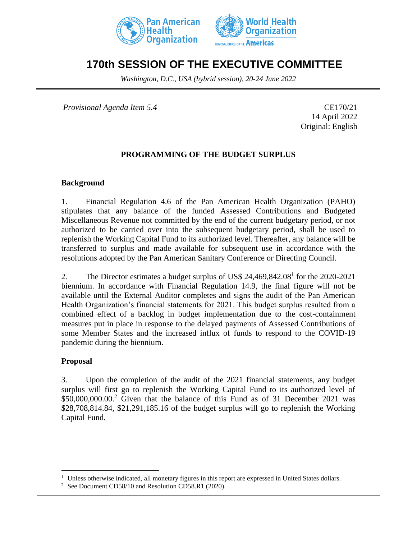



# **170th SESSION OF THE EXECUTIVE COMMITTEE**

*Washington, D.C., USA (hybrid session), 20-24 June 2022*

*Provisional Agenda Item 5.4* CE170/21

14 April 2022 Original: English

## **PROGRAMMING OF THE BUDGET SURPLUS**

#### **Background**

1. Financial Regulation 4.6 of the Pan American Health Organization (PAHO) stipulates that any balance of the funded Assessed Contributions and Budgeted Miscellaneous Revenue not committed by the end of the current budgetary period, or not authorized to be carried over into the subsequent budgetary period, shall be used to replenish the Working Capital Fund to its authorized level. Thereafter, any balance will be transferred to surplus and made available for subsequent use in accordance with the resolutions adopted by the Pan American Sanitary Conference or Directing Council.

2. The Director estimates a budget surplus of US\$ 24,469,842.08<sup>1</sup> for the 2020-2021 biennium. In accordance with Financial Regulation 14.9, the final figure will not be available until the External Auditor completes and signs the audit of the Pan American Health Organization's financial statements for 2021. This budget surplus resulted from a combined effect of a backlog in budget implementation due to the cost-containment measures put in place in response to the delayed payments of Assessed Contributions of some Member States and the increased influx of funds to respond to the COVID-19 pandemic during the biennium.

#### **Proposal**

3. Upon the completion of the audit of the 2021 financial statements, any budget surplus will first go to replenish the Working Capital Fund to its authorized level of \$50,000,000.00.<sup>2</sup> Given that the balance of this Fund as of 31 December 2021 was \$28,708,814.84, \$21,291,185.16 of the budget surplus will go to replenish the Working Capital Fund.

<sup>&</sup>lt;sup>1</sup> Unless otherwise indicated, all monetary figures in this report are expressed in United States dollars.

<sup>&</sup>lt;sup>2</sup> See Document CD58/10 and Resolution CD58.R1 (2020).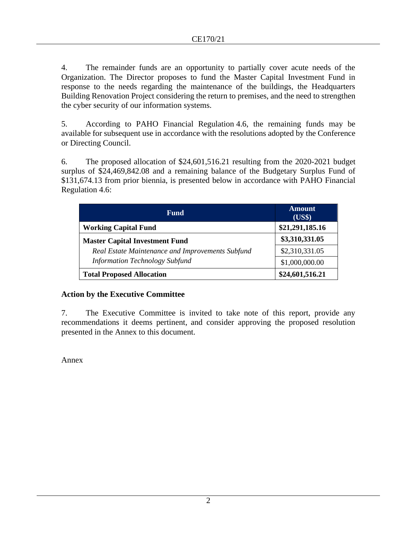4. The remainder funds are an opportunity to partially cover acute needs of the Organization. The Director proposes to fund the Master Capital Investment Fund in response to the needs regarding the maintenance of the buildings, the Headquarters Building Renovation Project considering the return to premises, and the need to strengthen the cyber security of our information systems.

5. According to PAHO Financial Regulation 4.6, the remaining funds may be available for subsequent use in accordance with the resolutions adopted by the Conference or Directing Council.

6. The proposed allocation of \$24,601,516.21 resulting from the 2020-2021 budget surplus of \$24,469,842.08 and a remaining balance of the Budgetary Surplus Fund of \$131,674.13 from prior biennia, is presented below in accordance with PAHO Financial Regulation 4.6:

| <b>Fund</b>                                      | <b>Amount</b><br>(US\$) |
|--------------------------------------------------|-------------------------|
| <b>Working Capital Fund</b>                      | \$21,291,185.16         |
| <b>Master Capital Investment Fund</b>            | \$3,310,331.05          |
| Real Estate Maintenance and Improvements Subfund | \$2,310,331.05          |
| <b>Information Technology Subfund</b>            | \$1,000,000.00          |
| <b>Total Proposed Allocation</b>                 | \$24,601,516.21         |

#### **Action by the Executive Committee**

7. The Executive Committee is invited to take note of this report, provide any recommendations it deems pertinent, and consider approving the proposed resolution presented in the Annex to this document.

Annex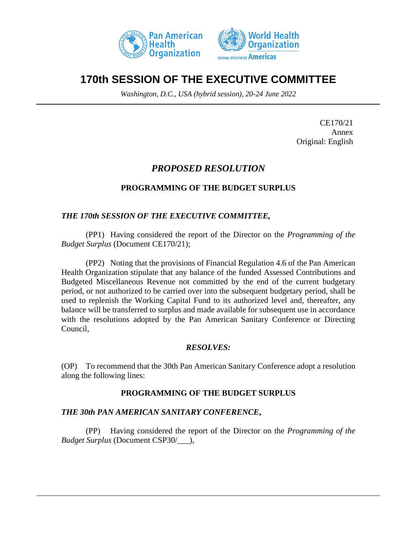



# **170th SESSION OF THE EXECUTIVE COMMITTEE**

*Washington, D.C., USA (hybrid session), 20-24 June 2022*

CE170/21 Annex Original: English

## *PROPOSED RESOLUTION*

## **PROGRAMMING OF THE BUDGET SURPLUS**

## *THE 170th SESSION OF THE EXECUTIVE COMMITTEE,*

(PP1) Having considered the report of the Director on the *Programming of the Budget Surplus* (Document CE170/21);

(PP2) Noting that the provisions of Financial Regulation 4.6 of the Pan American Health Organization stipulate that any balance of the funded Assessed Contributions and Budgeted Miscellaneous Revenue not committed by the end of the current budgetary period, or not authorized to be carried over into the subsequent budgetary period, shall be used to replenish the Working Capital Fund to its authorized level and, thereafter, any balance will be transferred to surplus and made available for subsequent use in accordance with the resolutions adopted by the Pan American Sanitary Conference or Directing Council,

## *RESOLVES:*

(OP) To recommend that the 30th Pan American Sanitary Conference adopt a resolution along the following lines:

## **PROGRAMMING OF THE BUDGET SURPLUS**

#### *THE 30th PAN AMERICAN SANITARY CONFERENCE***,**

(PP) Having considered the report of the Director on the *Programming of the Budget Surplus* (Document CSP30/\_\_\_),